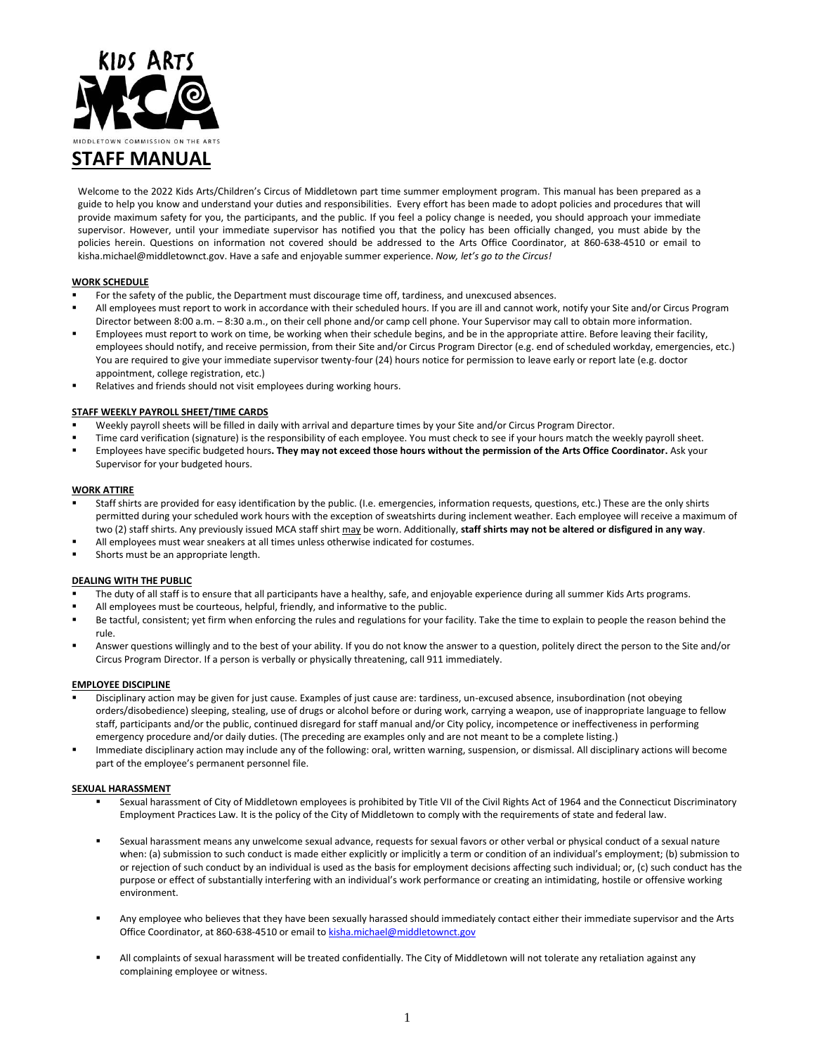

# **STAFF MANUAL**

Welcome to the 2022 Kids Arts/Children's Circus of Middletown part time summer employment program. This manual has been prepared as a guide to help you know and understand your duties and responsibilities. Every effort has been made to adopt policies and procedures that will provide maximum safety for you, the participants, and the public. If you feel a policy change is needed, you should approach your immediate supervisor. However, until your immediate supervisor has notified you that the policy has been officially changed, you must abide by the policies herein. Questions on information not covered should be addressed to the Arts Office Coordinator, at 860-638-4510 or email to kisha.michael@middletownct.gov. Have a safe and enjoyable summer experience. *Now, let's go to the Circus!*

### **WORK SCHEDULE**

- For the safety of the public, the Department must discourage time off, tardiness, and unexcused absences.
- All employees must report to work in accordance with their scheduled hours. If you are ill and cannot work, notify your Site and/or Circus Program Director between 8:00 a.m. – 8:30 a.m., on their cell phone and/or camp cell phone. Your Supervisor may call to obtain more information.
- Employees must report to work on time, be working when their schedule begins, and be in the appropriate attire. Before leaving their facility, employees should notify, and receive permission, from their Site and/or Circus Program Director (e.g. end of scheduled workday, emergencies, etc.) You are required to give your immediate supervisor twenty-four (24) hours notice for permission to leave early or report late (e.g. doctor appointment, college registration, etc.)
- Relatives and friends should not visit employees during working hours.

### **STAFF WEEKLY PAYROLL SHEET/TIME CARDS**

- Weekly payroll sheets will be filled in daily with arrival and departure times by your Site and/or Circus Program Director.
- Time card verification (signature) is the responsibility of each employee. You must check to see if your hours match the weekly payroll sheet.
- Employees have specific budgeted hours**. They may not exceed those hours without the permission of the Arts Office Coordinator.** Ask your Supervisor for your budgeted hours.

### **WORK ATTIRE**

- Staff shirts are provided for easy identification by the public. (I.e. emergencies, information requests, questions, etc.) These are the only shirts permitted during your scheduled work hours with the exception of sweatshirts during inclement weather. Each employee will receive a maximum of two (2) staff shirts. Any previously issued MCA staff shirt may be worn. Additionally, **staff shirts may not be altered or disfigured in any way**.
- All employees must wear sneakers at all times unless otherwise indicated for costumes.
- Shorts must be an appropriate length.

### **DEALING WITH THE PUBLIC**

- The duty of all staff is to ensure that all participants have a healthy, safe, and enjoyable experience during all summer Kids Arts programs.
- All employees must be courteous, helpful, friendly, and informative to the public.
- Be tactful, consistent; yet firm when enforcing the rules and regulations for your facility. Take the time to explain to people the reason behind the rule.
- Answer questions willingly and to the best of your ability. If you do not know the answer to a question, politely direct the person to the Site and/or Circus Program Director. If a person is verbally or physically threatening, call 911 immediately.

#### **EMPLOYEE DISCIPLINE**

- Disciplinary action may be given for just cause. Examples of just cause are: tardiness, un-excused absence, insubordination (not obeying orders/disobedience) sleeping, stealing, use of drugs or alcohol before or during work, carrying a weapon, use of inappropriate language to fellow staff, participants and/or the public, continued disregard for staff manual and/or City policy, incompetence or ineffectiveness in performing emergency procedure and/or daily duties. (The preceding are examples only and are not meant to be a complete listing.)
- Immediate disciplinary action may include any of the following: oral, written warning, suspension, or dismissal. All disciplinary actions will become part of the employee's permanent personnel file.

### **SEXUAL HARASSMENT**

- Sexual harassment of City of Middletown employees is prohibited by Title VII of the Civil Rights Act of 1964 and the Connecticut Discriminatory Employment Practices Law. It is the policy of the City of Middletown to comply with the requirements of state and federal law.
- Sexual harassment means any unwelcome sexual advance, requests for sexual favors or other verbal or physical conduct of a sexual nature when: (a) submission to such conduct is made either explicitly or implicitly a term or condition of an individual's employment; (b) submission to or rejection of such conduct by an individual is used as the basis for employment decisions affecting such individual; or, (c) such conduct has the purpose or effect of substantially interfering with an individual's work performance or creating an intimidating, hostile or offensive working environment.
- Any employee who believes that they have been sexually harassed should immediately contact either their immediate supervisor and the Arts Office Coordinator, at 860-638-4510 or email t[o kisha.michael@middletownct.gov](mailto:kisha.michael@middletownct.gov)
- All complaints of sexual harassment will be treated confidentially. The City of Middletown will not tolerate any retaliation against any complaining employee or witness.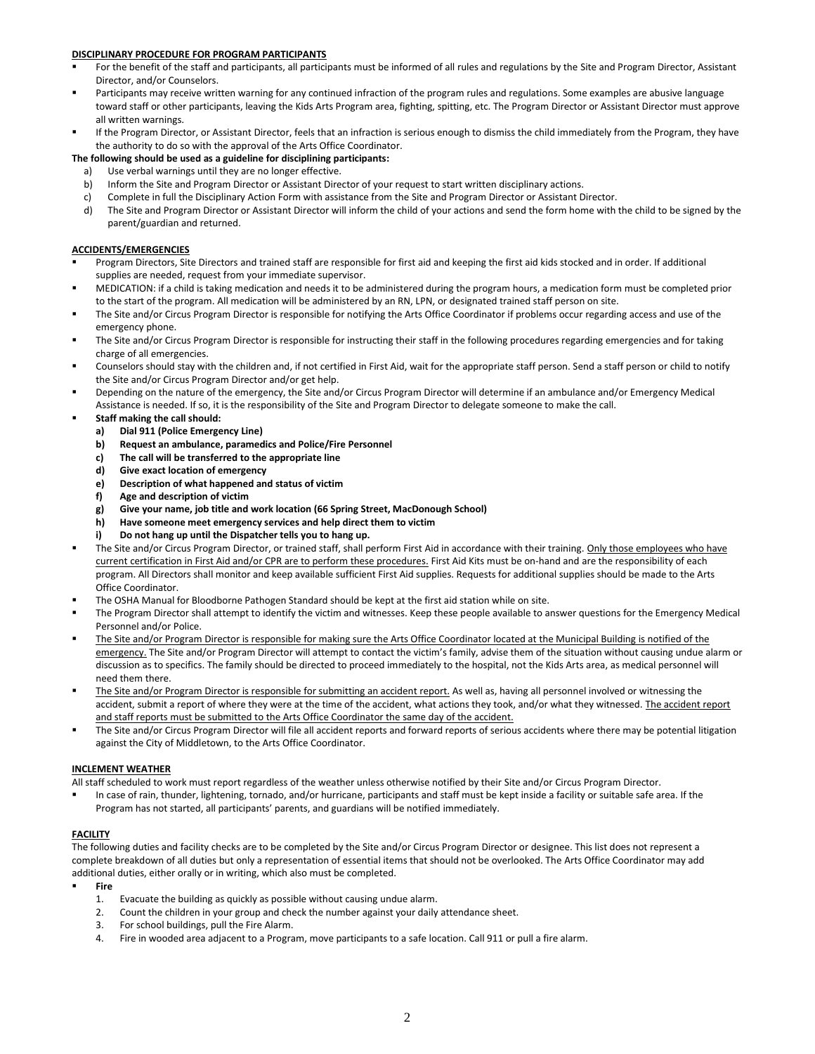### **DISCIPLINARY PROCEDURE FOR PROGRAM PARTICIPANTS**

- For the benefit of the staff and participants, all participants must be informed of all rules and regulations by the Site and Program Director, Assistant Director, and/or Counselors.
- Participants may receive written warning for any continued infraction of the program rules and regulations. Some examples are abusive language toward staff or other participants, leaving the Kids Arts Program area, fighting, spitting, etc. The Program Director or Assistant Director must approve all written warnings.
- If the Program Director, or Assistant Director, feels that an infraction is serious enough to dismiss the child immediately from the Program, they have the authority to do so with the approval of the Arts Office Coordinator.

### **The following should be used as a guideline for disciplining participants:**

- a) Use verbal warnings until they are no longer effective.
- b) Inform the Site and Program Director or Assistant Director of your request to start written disciplinary actions.
- c) Complete in full the Disciplinary Action Form with assistance from the Site and Program Director or Assistant Director.
- d) The Site and Program Director or Assistant Director will inform the child of your actions and send the form home with the child to be signed by the parent/guardian and returned.

### **ACCIDENTS/EMERGENCIES**

- Program Directors, Site Directors and trained staff are responsible for first aid and keeping the first aid kids stocked and in order. If additional supplies are needed, request from your immediate supervisor.
- MEDICATION: if a child is taking medication and needs it to be administered during the program hours, a medication form must be completed prior to the start of the program. All medication will be administered by an RN, LPN, or designated trained staff person on site.
- The Site and/or Circus Program Director is responsible for notifying the Arts Office Coordinator if problems occur regarding access and use of the emergency phone.
- The Site and/or Circus Program Director is responsible for instructing their staff in the following procedures regarding emergencies and for taking charge of all emergencies.
- Counselors should stay with the children and, if not certified in First Aid, wait for the appropriate staff person. Send a staff person or child to notify the Site and/or Circus Program Director and/or get help.
- Depending on the nature of the emergency, the Site and/or Circus Program Director will determine if an ambulance and/or Emergency Medical Assistance is needed. If so, it is the responsibility of the Site and Program Director to delegate someone to make the call.
- **Staff making the call should:** 
	- **a) Dial 911 (Police Emergency Line)**
	- **b) Request an ambulance, paramedics and Police/Fire Personnel**
	- **c) The call will be transferred to the appropriate line**
	- **d) Give exact location of emergency**
	- **e) Description of what happened and status of victim**
	- **f) Age and description of victim**
	- **g) Give your name, job title and work location (66 Spring Street, MacDonough School)**
	- **h) Have someone meet emergency services and help direct them to victim**
	- **i) Do not hang up until the Dispatcher tells you to hang up.**
- The Site and/or Circus Program Director, or trained staff, shall perform First Aid in accordance with their training. Only those employees who have current certification in First Aid and/or CPR are to perform these procedures. First Aid Kits must be on-hand and are the responsibility of each program. All Directors shall monitor and keep available sufficient First Aid supplies. Requests for additional supplies should be made to the Arts Office Coordinator.
- The OSHA Manual for Bloodborne Pathogen Standard should be kept at the first aid station while on site.
- The Program Director shall attempt to identify the victim and witnesses. Keep these people available to answer questions for the Emergency Medical Personnel and/or Police.
- The Site and/or Program Director is responsible for making sure the Arts Office Coordinator located at the Municipal Building is notified of the emergency. The Site and/or Program Director will attempt to contact the victim's family, advise them of the situation without causing undue alarm or discussion as to specifics. The family should be directed to proceed immediately to the hospital, not the Kids Arts area, as medical personnel will need them there.
- The Site and/or Program Director is responsible for submitting an accident report. As well as, having all personnel involved or witnessing the accident, submit a report of where they were at the time of the accident, what actions they took, and/or what they witnessed. The accident report and staff reports must be submitted to the Arts Office Coordinator the same day of the accident.
- The Site and/or Circus Program Director will file all accident reports and forward reports of serious accidents where there may be potential litigation against the City of Middletown, to the Arts Office Coordinator.

### **INCLEMENT WEATHER**

All staff scheduled to work must report regardless of the weather unless otherwise notified by their Site and/or Circus Program Director.

 In case of rain, thunder, lightening, tornado, and/or hurricane, participants and staff must be kept inside a facility or suitable safe area. If the Program has not started, all participants' parents, and guardians will be notified immediately.

### **FACILITY**

The following duties and facility checks are to be completed by the Site and/or Circus Program Director or designee. This list does not represent a complete breakdown of all duties but only a representation of essential items that should not be overlooked. The Arts Office Coordinator may add additional duties, either orally or in writing, which also must be completed.

- **Fire**
	- 1. Evacuate the building as quickly as possible without causing undue alarm.
	- 2. Count the children in your group and check the number against your daily attendance sheet.
	- 3. For school buildings, pull the Fire Alarm.
	- 4. Fire in wooded area adjacent to a Program, move participants to a safe location. Call 911 or pull a fire alarm.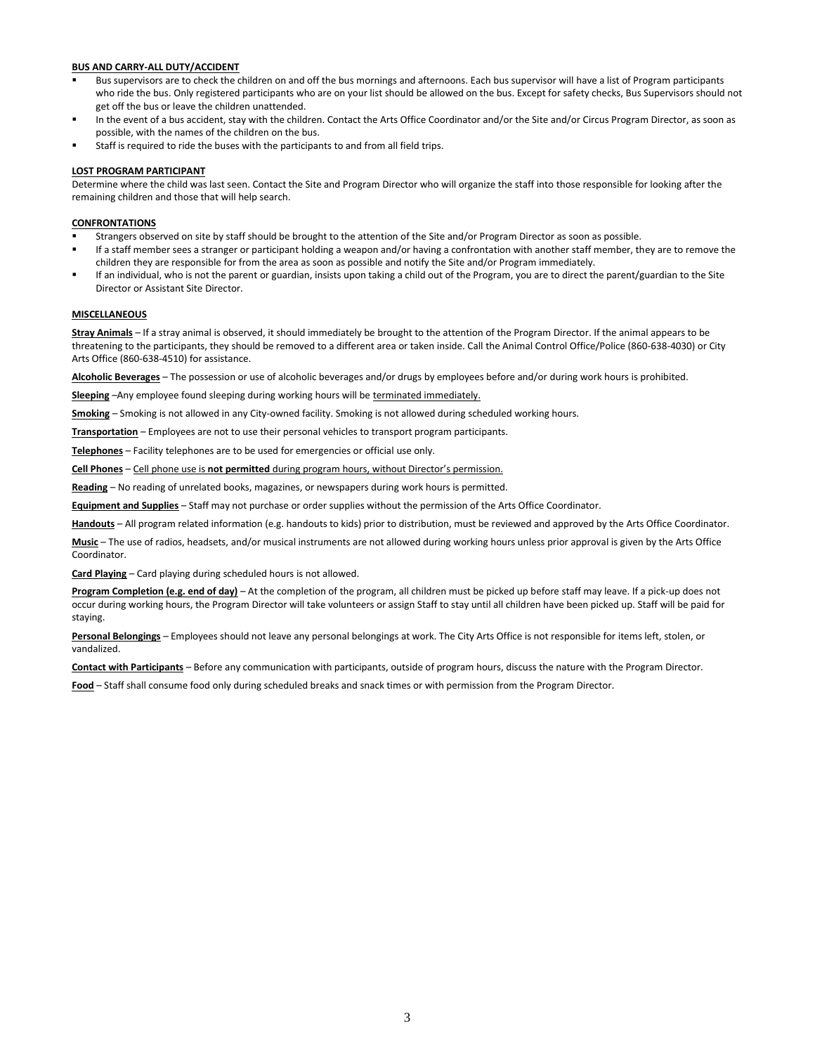### **BUS AND CARRY-ALL DUTY/ACCIDENT**

- Bus supervisors are to check the children on and off the bus mornings and afternoons. Each bus supervisor will have a list of Program participants who ride the bus. Only registered participants who are on your list should be allowed on the bus. Except for safety checks, Bus Supervisors should not get off the bus or leave the children unattended.
- In the event of a bus accident, stay with the children. Contact the Arts Office Coordinator and/or the Site and/or Circus Program Director, as soon as possible, with the names of the children on the bus.
- Staff is required to ride the buses with the participants to and from all field trips.

### **LOST PROGRAM PARTICIPANT**

Determine where the child was last seen. Contact the Site and Program Director who will organize the staff into those responsible for looking after the remaining children and those that will help search.

### **CONFRONTATIONS**

- Strangers observed on site by staff should be brought to the attention of the Site and/or Program Director as soon as possible.
- If a staff member sees a stranger or participant holding a weapon and/or having a confrontation with another staff member, they are to remove the children they are responsible for from the area as soon as possible and notify the Site and/or Program immediately.
- If an individual, who is not the parent or guardian, insists upon taking a child out of the Program, you are to direct the parent/guardian to the Site Director or Assistant Site Director.

### **MISCELLANEOUS**

**Stray Animals** – If a stray animal is observed, it should immediately be brought to the attention of the Program Director. If the animal appears to be threatening to the participants, they should be removed to a different area or taken inside. Call the Animal Control Office/Police (860-638-4030) or City Arts Office (860-638-4510) for assistance.

**Alcoholic Beverages** – The possession or use of alcoholic beverages and/or drugs by employees before and/or during work hours is prohibited.

**Sleeping** –Any employee found sleeping during working hours will be terminated immediately.

**Smoking** – Smoking is not allowed in any City-owned facility. Smoking is not allowed during scheduled working hours.

**Transportation** – Employees are not to use their personal vehicles to transport program participants.

**Telephones** – Facility telephones are to be used for emergencies or official use only.

**Cell Phones** – Cell phone use is **not permitted** during program hours, without Director's permission.

**Reading** – No reading of unrelated books, magazines, or newspapers during work hours is permitted.

**Equipment and Supplies** – Staff may not purchase or order supplies without the permission of the Arts Office Coordinator.

**Handouts** – All program related information (e.g. handouts to kids) prior to distribution, must be reviewed and approved by the Arts Office Coordinator.

**Music** – The use of radios, headsets, and/or musical instruments are not allowed during working hours unless prior approval is given by the Arts Office Coordinator.

**Card Playing** – Card playing during scheduled hours is not allowed.

**Program Completion (e.g. end of day)** – At the completion of the program, all children must be picked up before staff may leave. If a pick-up does not occur during working hours, the Program Director will take volunteers or assign Staff to stay until all children have been picked up. Staff will be paid for staying.

**Personal Belongings** – Employees should not leave any personal belongings at work. The City Arts Office is not responsible for items left, stolen, or vandalized.

**Contact with Participants** – Before any communication with participants, outside of program hours, discuss the nature with the Program Director.

**Food** – Staff shall consume food only during scheduled breaks and snack times or with permission from the Program Director.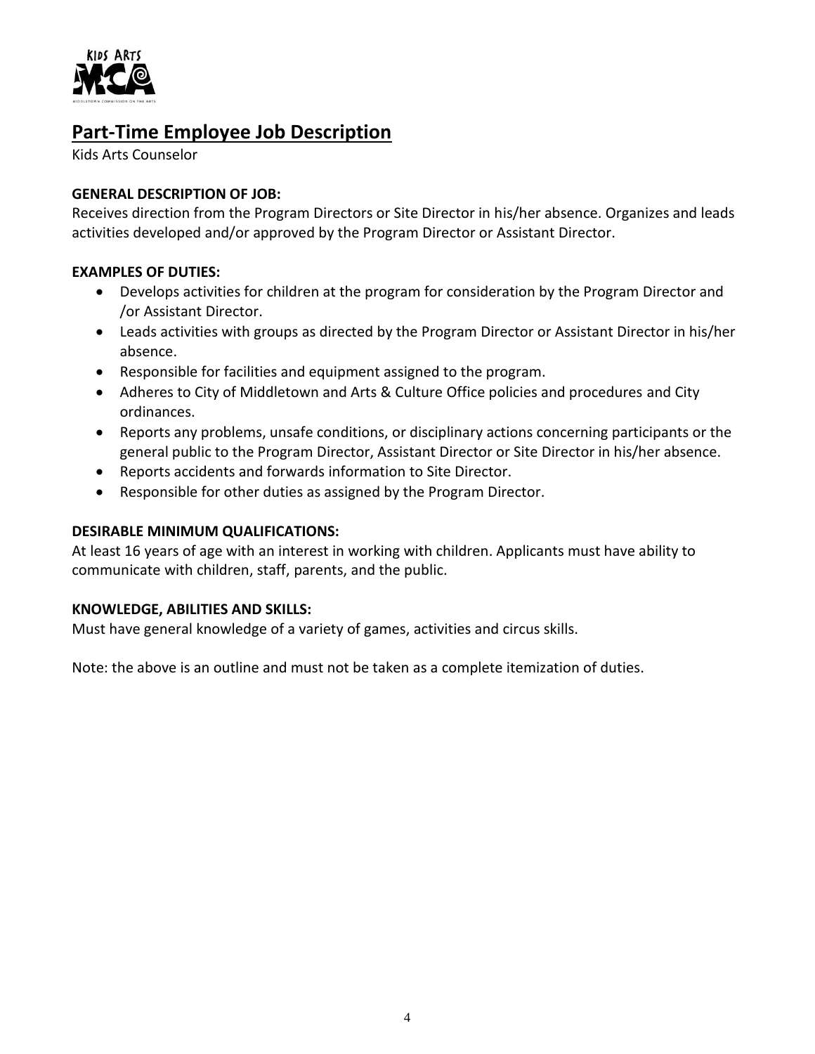

# **Part-Time Employee Job Description**

Kids Arts Counselor

# **GENERAL DESCRIPTION OF JOB:**

Receives direction from the Program Directors or Site Director in his/her absence. Organizes and leads activities developed and/or approved by the Program Director or Assistant Director.

# **EXAMPLES OF DUTIES:**

- Develops activities for children at the program for consideration by the Program Director and /or Assistant Director.
- Leads activities with groups as directed by the Program Director or Assistant Director in his/her absence.
- Responsible for facilities and equipment assigned to the program.
- Adheres to City of Middletown and Arts & Culture Office policies and procedures and City ordinances.
- Reports any problems, unsafe conditions, or disciplinary actions concerning participants or the general public to the Program Director, Assistant Director or Site Director in his/her absence.
- Reports accidents and forwards information to Site Director.
- Responsible for other duties as assigned by the Program Director.

## **DESIRABLE MINIMUM QUALIFICATIONS:**

At least 16 years of age with an interest in working with children. Applicants must have ability to communicate with children, staff, parents, and the public.

### **KNOWLEDGE, ABILITIES AND SKILLS:**

Must have general knowledge of a variety of games, activities and circus skills.

Note: the above is an outline and must not be taken as a complete itemization of duties.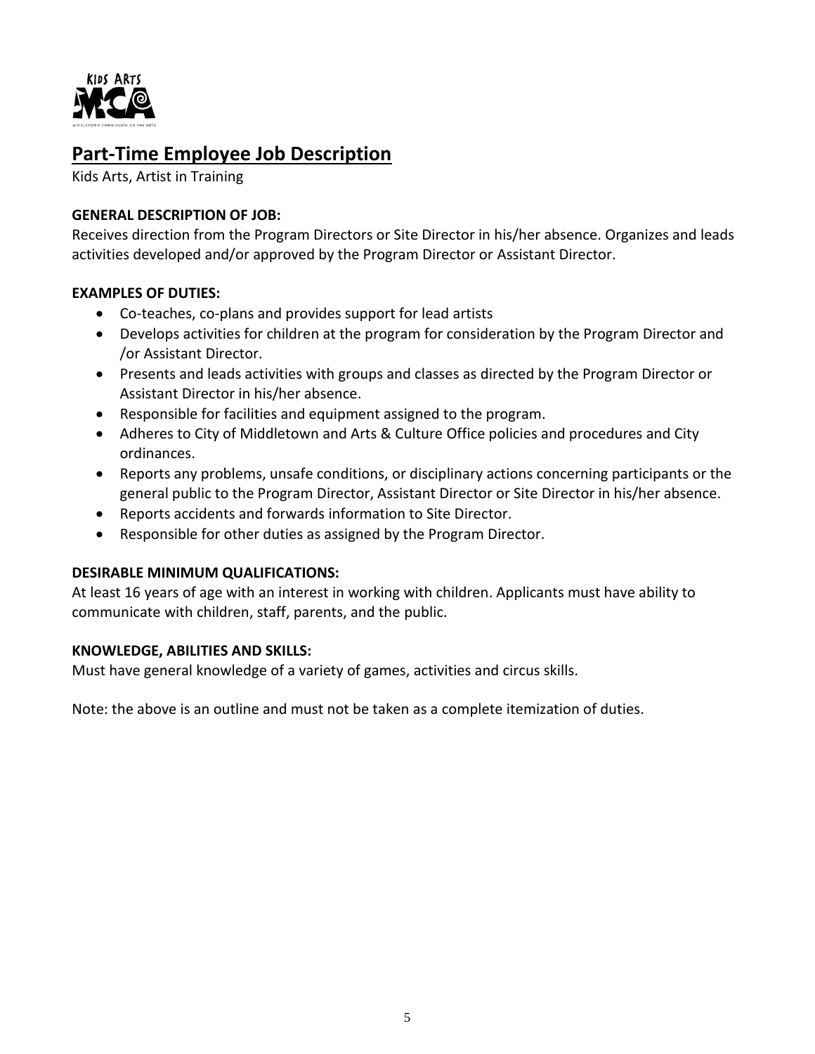

# **Part-Time Employee Job Description**

Kids Arts, Artist in Training

# **GENERAL DESCRIPTION OF JOB:**

Receives direction from the Program Directors or Site Director in his/her absence. Organizes and leads activities developed and/or approved by the Program Director or Assistant Director.

# **EXAMPLES OF DUTIES:**

- Co-teaches, co-plans and provides support for lead artists
- Develops activities for children at the program for consideration by the Program Director and /or Assistant Director.
- Presents and leads activities with groups and classes as directed by the Program Director or Assistant Director in his/her absence.
- Responsible for facilities and equipment assigned to the program.
- Adheres to City of Middletown and Arts & Culture Office policies and procedures and City ordinances.
- Reports any problems, unsafe conditions, or disciplinary actions concerning participants or the general public to the Program Director, Assistant Director or Site Director in his/her absence.
- Reports accidents and forwards information to Site Director.
- Responsible for other duties as assigned by the Program Director.

### **DESIRABLE MINIMUM QUALIFICATIONS:**

At least 16 years of age with an interest in working with children. Applicants must have ability to communicate with children, staff, parents, and the public.

### **KNOWLEDGE, ABILITIES AND SKILLS:**

Must have general knowledge of a variety of games, activities and circus skills.

Note: the above is an outline and must not be taken as a complete itemization of duties.